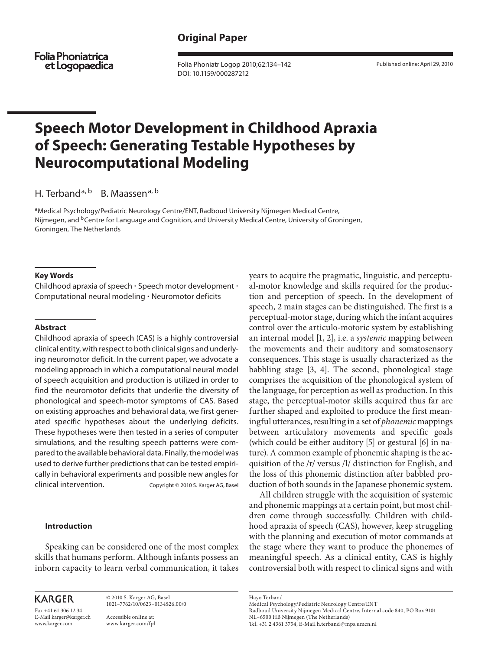# **Original Paper**

**Folia Phoniatrica** et Logopaedica

 Folia Phoniatr Logop 2010;62:134–142 DOI: 10.1159/000287212

Published online: April 29, 2010

# **Speech Motor Development in Childhood Apraxia of Speech: Generating Testable Hypotheses by Neurocomputational Modeling**

H. Terband<sup>a, b</sup> B. Maassen<sup>a, b</sup>

a Medical Psychology/Pediatric Neurology Centre/ENT, Radboud University Nijmegen Medical Centre, Nijmegen, and <sup>b</sup> Centre for Language and Cognition, and University Medical Centre, University of Groningen, Groningen, The Netherlands

#### **Key Words**

Childhood apraxia of speech  $\cdot$  Speech motor development  $\cdot$ Computational neural modeling - Neuromotor deficits

#### **Abstract**

 Childhood apraxia of speech (CAS) is a highly controversial clinical entity, with respect to both clinical signs and underlying neuromotor deficit. In the current paper, we advocate a modeling approach in which a computational neural model of speech acquisition and production is utilized in order to find the neuromotor deficits that underlie the diversity of phonological and speech-motor symptoms of CAS. Based on existing approaches and behavioral data, we first generated specific hypotheses about the underlying deficits. These hypotheses were then tested in a series of computer simulations, and the resulting speech patterns were compared to the available behavioral data. Finally, the model was used to derive further predictions that can be tested empirically in behavioral experiments and possible new angles for clinical intervention. Copyright © 2010 S. Karger AG, Basel

#### **Introduction**

 Speaking can be considered one of the most complex skills that humans perform. Although infants possess an inborn capacity to learn verbal communication, it takes

**KARGER** 

Fax +41 61 306 12 34 E-Mail karger@karger.ch www.karger.com

 © 2010 S. Karger AG, Basel 1021–7762/10/0623–0134\$26.00/0

 Accessible online at: www.karger.com/fpl years to acquire the pragmatic, linguistic, and perceptual-motor knowledge and skills required for the production and perception of speech. In the development of speech, 2 main stages can be distinguished. The first is a perceptual-motor stage, during which the infant acquires control over the articulo-motoric system by establishing an internal model [1, 2], i.e. a *systemic* mapping between the movements and their auditory and somatosensory consequences. This stage is usually characterized as the babbling stage  $[3, 4]$ . The second, phonological stage comprises the acquisition of the phonological system of the language, for perception as well as production. In this stage, the perceptual-motor skills acquired thus far are further shaped and exploited to produce the first meaningful utterances, resulting in a set of *phonemic* mappings between articulatory movements and specific goals (which could be either auditory [5] or gestural [6] in nature). A common example of phonemic shaping is the acquisition of the /r/ versus /l/ distinction for English, and the loss of this phonemic distinction after babbled production of both sounds in the Japanese phonemic system.

 All children struggle with the acquisition of systemic and phonemic mappings at a certain point, but most children come through successfully. Children with childhood apraxia of speech (CAS), however, keep struggling with the planning and execution of motor commands at the stage where they want to produce the phonemes of meaningful speech. As a clinical entity, CAS is highly controversial both with respect to clinical signs and with

 Hayo Terband Medical Psychology/Pediatric Neurology Centre/ENT Radboud University Nijmegen Medical Centre, Internal code 840, PO Box 9101 NL–6500 HB Nijmegen (The Netherlands) Tel. +31 2 4361 3754, E-Mail h.terband @ mps.umcn.nl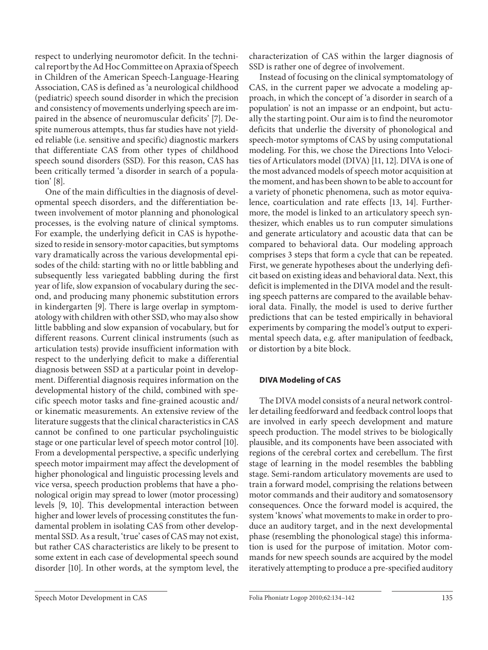respect to underlying neuromotor deficit. In the technical report by the Ad Hoc Committee on Apraxia of Speech in Children of the American Speech-Language-Hearing Association, CAS is defined as 'a neurological childhood (pediatric) speech sound disorder in which the precision and consistency of movements underlying speech are impaired in the absence of neuromuscular deficits' [7]. Despite numerous attempts, thus far studies have not yielded reliable (i.e. sensitive and specific) diagnostic markers that differentiate CAS from other types of childhood speech sound disorders (SSD). For this reason, CAS has been critically termed 'a disorder in search of a population' [8].

 One of the main difficulties in the diagnosis of developmental speech disorders, and the differentiation between involvement of motor planning and phonological processes, is the evolving nature of clinical symptoms. For example, the underlying deficit in CAS is hypothesized to reside in sensory-motor capacities, but symptoms vary dramatically across the various developmental episodes of the child: starting with no or little babbling and subsequently less variegated babbling during the first year of life, slow expansion of vocabulary during the second, and producing many phonemic substitution errors in kindergarten [9]. There is large overlap in symptomatology with children with other SSD, who may also show little babbling and slow expansion of vocabulary, but for different reasons. Current clinical instruments (such as articulation tests) provide insufficient information with respect to the underlying deficit to make a differential diagnosis between SSD at a particular point in development. Differential diagnosis requires information on the developmental history of the child, combined with specific speech motor tasks and fine-grained acoustic and/ or kinematic measurements. An extensive review of the literature suggests that the clinical characteristics in CAS cannot be confined to one particular psycholinguistic stage or one particular level of speech motor control [10] . From a developmental perspective, a specific underlying speech motor impairment may affect the development of higher phonological and linguistic processing levels and vice versa, speech production problems that have a phonological origin may spread to lower (motor processing) levels [9, 10]. This developmental interaction between higher and lower levels of processing constitutes the fundamental problem in isolating CAS from other developmental SSD. As a result, 'true' cases of CAS may not exist, but rather CAS characteristics are likely to be present to some extent in each case of developmental speech sound disorder [10]. In other words, at the symptom level, the

characterization of CAS within the larger diagnosis of SSD is rather one of degree of involvement.

 Instead of focusing on the clinical symptomatology of CAS, in the current paper we advocate a modeling approach, in which the concept of 'a disorder in search of a population' is not an impasse or an endpoint, but actually the starting point. Our aim is to find the neuromotor deficits that underlie the diversity of phonological and speech-motor symptoms of CAS by using computational modeling. For this, we chose the Directions Into Velocities of Articulators model (DIVA) [11, 12]. DIVA is one of the most advanced models of speech motor acquisition at the moment, and has been shown to be able to account for a variety of phonetic phenomena, such as motor equivalence, coarticulation and rate effects [13, 14]. Furthermore, the model is linked to an articulatory speech synthesizer, which enables us to run computer simulations and generate articulatory and acoustic data that can be compared to behavioral data. Our modeling approach comprises 3 steps that form a cycle that can be repeated. First, we generate hypotheses about the underlying deficit based on existing ideas and behavioral data. Next, this deficit is implemented in the DIVA model and the resulting speech patterns are compared to the available behavioral data. Finally, the model is used to derive further predictions that can be tested empirically in behavioral experiments by comparing the model's output to experimental speech data, e.g. after manipulation of feedback, or distortion by a bite block.

## **DIVA Modeling of CAS**

 The DIVA model consists of a neural network controller detailing feedforward and feedback control loops that are involved in early speech development and mature speech production. The model strives to be biologically plausible, and its components have been associated with regions of the cerebral cortex and cerebellum. The first stage of learning in the model resembles the babbling stage. Semi-random articulatory movements are used to train a forward model, comprising the relations between motor commands and their auditory and somatosensory consequences. Once the forward model is acquired, the system 'knows' what movements to make in order to produce an auditory target, and in the next developmental phase (resembling the phonological stage) this information is used for the purpose of imitation. Motor commands for new speech sounds are acquired by the model iteratively attempting to produce a pre-specified auditory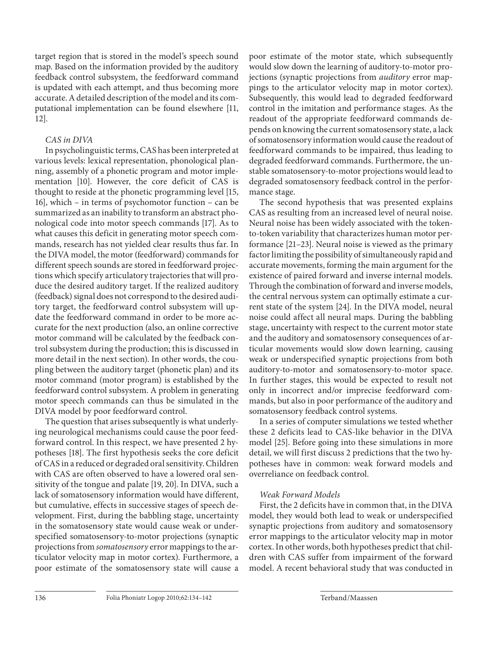target region that is stored in the model's speech sound map. Based on the information provided by the auditory feedback control subsystem, the feedforward command is updated with each attempt, and thus becoming more accurate. A detailed description of the model and its computational implementation can be found elsewhere [11,  $12$ ].

## *CAS in DIVA*

 In psycholinguistic terms, CAS has been interpreted at various levels: lexical representation, phonological planning, assembly of a phonetic program and motor implementation [10]. However, the core deficit of CAS is thought to reside at the phonetic programming level [15, 16], which – in terms of psychomotor function – can be summarized as an inability to transform an abstract phonological code into motor speech commands [17] . As to what causes this deficit in generating motor speech commands, research has not yielded clear results thus far. In the DIVA model, the motor (feedforward) commands for different speech sounds are stored in feedforward projections which specify articulatory trajectories that will produce the desired auditory target. If the realized auditory (feedback) signal does not correspond to the desired auditory target, the feedforward control subsystem will update the feedforward command in order to be more accurate for the next production (also, an online corrective motor command will be calculated by the feedback control subsystem during the production; this is discussed in more detail in the next section). In other words, the coupling between the auditory target (phonetic plan) and its motor command (motor program) is established by the feedforward control subsystem. A problem in generating motor speech commands can thus be simulated in the DIVA model by poor feedforward control.

 The question that arises subsequently is what underlying neurological mechanisms could cause the poor feedforward control. In this respect, we have presented 2 hypotheses [18]. The first hypothesis seeks the core deficit of CAS in a reduced or degraded oral sensitivity. Children with CAS are often observed to have a lowered oral sensitivity of the tongue and palate [19, 20]. In DIVA, such a lack of somatosensory information would have different, but cumulative, effects in successive stages of speech development. First, during the babbling stage, uncertainty in the somatosensory state would cause weak or underspecified somatosensory-to-motor projections (synaptic projections from *somatosensory* error mappings to the articulator velocity map in motor cortex). Furthermore, a poor estimate of the somatosensory state will cause a

poor estimate of the motor state, which subsequently would slow down the learning of auditory-to-motor projections (synaptic projections from *auditory* error mappings to the articulator velocity map in motor cortex). Subsequently, this would lead to degraded feedforward control in the imitation and performance stages. As the readout of the appropriate feedforward commands depends on knowing the current somatosensory state, a lack of somatosensory information would cause the readout of feedforward commands to be impaired, thus leading to degraded feedforward commands. Furthermore, the unstable somatosensory-to-motor projections would lead to degraded somatosensory feedback control in the performance stage.

 The second hypothesis that was presented explains CAS as resulting from an increased level of neural noise. Neural noise has been widely associated with the tokento-token variability that characterizes human motor performance [21-23]. Neural noise is viewed as the primary factor limiting the possibility of simultaneously rapid and accurate movements, forming the main argument for the existence of paired forward and inverse internal models. Through the combination of forward and inverse models, the central nervous system can optimally estimate a current state of the system [24]. In the DIVA model, neural noise could affect all neural maps. During the babbling stage, uncertainty with respect to the current motor state and the auditory and somatosensory consequences of articular movements would slow down learning, causing weak or underspecified synaptic projections from both auditory-to-motor and somatosensory-to-motor space. In further stages, this would be expected to result not only in incorrect and/or imprecise feedforward commands, but also in poor performance of the auditory and somatosensory feedback control systems.

 In a series of computer simulations we tested whether these 2 deficits lead to CAS-like behavior in the DIVA model [25]. Before going into these simulations in more detail, we will first discuss 2 predictions that the two hypotheses have in common: weak forward models and overreliance on feedback control.

## *Weak Forward Models*

 First, the 2 deficits have in common that, in the DIVA model, they would both lead to weak or underspecified synaptic projections from auditory and somatosensory error mappings to the articulator velocity map in motor cortex. In other words, both hypotheses predict that children with CAS suffer from impairment of the forward model. A recent behavioral study that was conducted in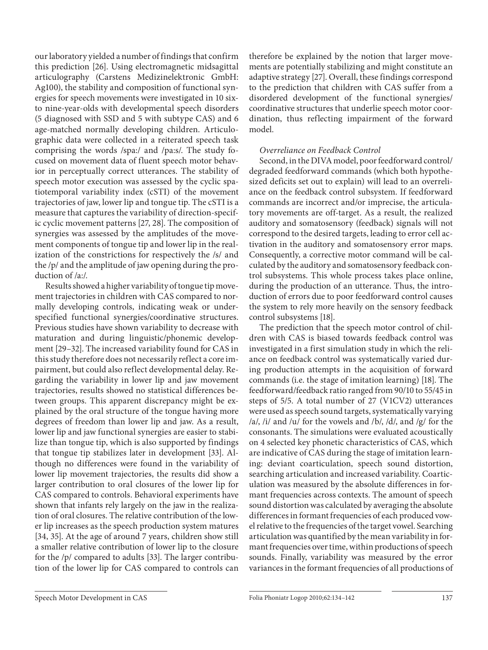our laboratory yielded a number of findings that confirm this prediction [26]. Using electromagnetic midsagittal articulography (Carstens Medizinelektronic GmbH: Ag100), the stability and composition of functional synergies for speech movements were investigated in 10 sixto nine-year-olds with developmental speech disorders (5 diagnosed with SSD and 5 with subtype CAS) and 6 age-matched normally developing children. Articulographic data were collected in a reiterated speech task comprising the words /spa:/ and /pa:s/. The study focused on movement data of fluent speech motor behavior in perceptually correct utterances. The stability of speech motor execution was assessed by the cyclic spatiotemporal variability index (cSTI) of the movement trajectories of jaw, lower lip and tongue tip. The cSTI is a measure that captures the variability of direction-specific cyclic movement patterns [27, 28]. The composition of synergies was assessed by the amplitudes of the movement components of tongue tip and lower lip in the realization of the constrictions for respectively the /s/ and the /p/ and the amplitude of jaw opening during the production of /a:/.

 Results showed a higher variability of tongue tip movement trajectories in children with CAS compared to normally developing controls, indicating weak or underspecified functional synergies/coordinative structures. Previous studies have shown variability to decrease with maturation and during linguistic/phonemic development [29–32]. The increased variability found for CAS in this study therefore does not necessarily reflect a core impairment, but could also reflect developmental delay. Regarding the variability in lower lip and jaw movement trajectories, results showed no statistical differences between groups. This apparent discrepancy might be explained by the oral structure of the tongue having more degrees of freedom than lower lip and jaw. As a result, lower lip and jaw functional synergies are easier to stabilize than tongue tip, which is also supported by findings that tongue tip stabilizes later in development [33]. Although no differences were found in the variability of lower lip movement trajectories, the results did show a larger contribution to oral closures of the lower lip for CAS compared to controls. Behavioral experiments have shown that infants rely largely on the jaw in the realization of oral closures. The relative contribution of the lower lip increases as the speech production system matures [34, 35]. At the age of around 7 years, children show still a smaller relative contribution of lower lip to the closure for the /p/ compared to adults [33]. The larger contribution of the lower lip for CAS compared to controls can

therefore be explained by the notion that larger movements are potentially stabilizing and might constitute an adaptive strategy [27]. Overall, these findings correspond to the prediction that children with CAS suffer from a disordered development of the functional synergies/ coordinative structures that underlie speech motor coordination, thus reflecting impairment of the forward model.

## *Overreliance on Feedback Control*

 Second, in the DIVA model, poor feedforward control/ degraded feedforward commands (which both hypothesized deficits set out to explain) will lead to an overreliance on the feedback control subsystem. If feedforward commands are incorrect and/or imprecise, the articulatory movements are off-target. As a result, the realized auditory and somatosensory (feedback) signals will not correspond to the desired targets, leading to error cell activation in the auditory and somatosensory error maps. Consequently, a corrective motor command will be calculated by the auditory and somatosensory feedback control subsystems. This whole process takes place online, during the production of an utterance. Thus, the introduction of errors due to poor feedforward control causes the system to rely more heavily on the sensory feedback control subsystems [18].

 The prediction that the speech motor control of children with CAS is biased towards feedback control was investigated in a first simulation study in which the reliance on feedback control was systematically varied during production attempts in the acquisition of forward commands (i.e. the stage of imitation learning) [18] . The feedforward/feedback ratio ranged from 90/10 to 55/45 in steps of 5/5. A total number of 27 (V1CV2) utterances were used as speech sound targets, systematically varying  $\alpha$ ,  $\alpha$ ,  $\beta$  and  $\alpha$  for the vowels and  $\beta$ ,  $\alpha$ ,  $\alpha$ , and  $\beta$  for the consonants. The simulations were evaluated acoustically on 4 selected key phonetic characteristics of CAS, which are indicative of CAS during the stage of imitation learning: deviant coarticulation, speech sound distortion, searching articulation and increased variability. Coarticulation was measured by the absolute differences in formant frequencies across contexts. The amount of speech sound distortion was calculated by averaging the absolute differences in formant frequencies of each produced vowel relative to the frequencies of the target vowel. Searching articulation was quantified by the mean variability in formant frequencies over time, within productions of speech sounds. Finally, variability was measured by the error variances in the formant frequencies of all productions of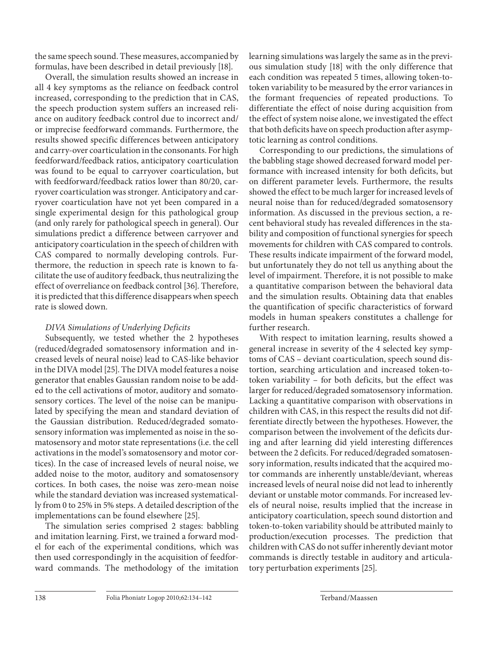the same speech sound. These measures, accompanied by formulas, have been described in detail previously [18] .

 Overall, the simulation results showed an increase in all 4 key symptoms as the reliance on feedback control increased, corresponding to the prediction that in CAS, the speech production system suffers an increased reliance on auditory feedback control due to incorrect and/ or imprecise feedforward commands. Furthermore, the results showed specific differences between anticipatory and carry-over coarticulation in the consonants. For high feedforward/feedback ratios, anticipatory coarticulation was found to be equal to carryover coarticulation, but with feedforward/feedback ratios lower than 80/20, carryover coarticulation was stronger. Anticipatory and carryover coarticulation have not yet been compared in a single experimental design for this pathological group (and only rarely for pathological speech in general). Our simulations predict a difference between carryover and anticipatory coarticulation in the speech of children with CAS compared to normally developing controls. Furthermore, the reduction in speech rate is known to facilitate the use of auditory feedback, thus neutralizing the effect of overreliance on feedback control [36]. Therefore, it is predicted that this difference disappears when speech rate is slowed down.

# *DIVA Simulations of Underlying Deficits*

 Subsequently, we tested whether the 2 hypotheses (reduced/degraded somatosensory information and increased levels of neural noise) lead to CAS-like behavior in the DIVA model [25]. The DIVA model features a noise generator that enables Gaussian random noise to be added to the cell activations of motor, auditory and somatosensory cortices. The level of the noise can be manipulated by specifying the mean and standard deviation of the Gaussian distribution. Reduced/degraded somatosensory information was implemented as noise in the somatosensory and motor state representations (i.e. the cell activations in the model's somatosensory and motor cortices). In the case of increased levels of neural noise, we added noise to the motor, auditory and somatosensory cortices. In both cases, the noise was zero-mean noise while the standard deviation was increased systematically from 0 to 25% in 5% steps. A detailed description of the implementations can be found elsewhere [25].

 The simulation series comprised 2 stages: babbling and imitation learning. First, we trained a forward model for each of the experimental conditions, which was then used correspondingly in the acquisition of feedforward commands. The methodology of the imitation learning simulations was largely the same as in the previous simulation study [18] with the only difference that each condition was repeated 5 times, allowing token-totoken variability to be measured by the error variances in the formant frequencies of repeated productions. To differentiate the effect of noise during acquisition from the effect of system noise alone, we investigated the effect that both deficits have on speech production after asymptotic learning as control conditions.

 Corresponding to our predictions, the simulations of the babbling stage showed decreased forward model performance with increased intensity for both deficits, but on different parameter levels. Furthermore, the results showed the effect to be much larger for increased levels of neural noise than for reduced/degraded somatosensory information. As discussed in the previous section, a recent behavioral study has revealed differences in the stability and composition of functional synergies for speech movements for children with CAS compared to controls. These results indicate impairment of the forward model, but unfortunately they do not tell us anything about the level of impairment. Therefore, it is not possible to make a quantitative comparison between the behavioral data and the simulation results. Obtaining data that enables the quantification of specific characteristics of forward models in human speakers constitutes a challenge for further research.

 With respect to imitation learning, results showed a general increase in severity of the 4 selected key symptoms of CAS – deviant coarticulation, speech sound distortion, searching articulation and increased token-totoken variability – for both deficits, but the effect was larger for reduced/degraded somatosensory information. Lacking a quantitative comparison with observations in children with CAS, in this respect the results did not differentiate directly between the hypotheses. However, the comparison between the involvement of the deficits during and after learning did yield interesting differences between the 2 deficits. For reduced/degraded somatosensory information, results indicated that the acquired motor commands are inherently unstable/deviant, whereas increased levels of neural noise did not lead to inherently deviant or unstable motor commands. For increased levels of neural noise, results implied that the increase in anticipatory coarticulation, speech sound distortion and token-to-token variability should be attributed mainly to production/execution processes. The prediction that children with CAS do not suffer inherently deviant motor commands is directly testable in auditory and articulatory perturbation experiments [25].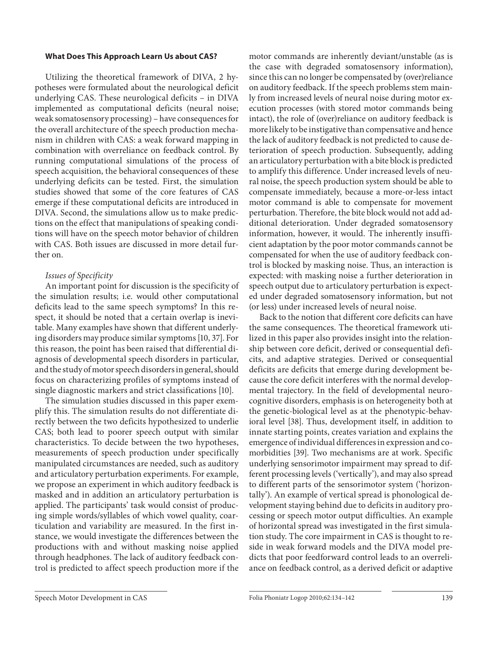#### **What Does This Approach Learn Us about CAS?**

 Utilizing the theoretical framework of DIVA, 2 hypotheses were formulated about the neurological deficit underlying CAS. These neurological deficits – in DIVA implemented as computational deficits (neural noise; weak somatosensory processing) – have consequences for the overall architecture of the speech production mechanism in children with CAS: a weak forward mapping in combination with overreliance on feedback control. By running computational simulations of the process of speech acquisition, the behavioral consequences of these underlying deficits can be tested. First, the simulation studies showed that some of the core features of CAS emerge if these computational deficits are introduced in DIVA. Second, the simulations allow us to make predictions on the effect that manipulations of speaking conditions will have on the speech motor behavior of children with CAS. Both issues are discussed in more detail further on.

## *Issues of Specificity*

 An important point for discussion is the specificity of the simulation results; i.e. would other computational deficits lead to the same speech symptoms? In this respect, it should be noted that a certain overlap is inevitable. Many examples have shown that different underlying disorders may produce similar symptoms [10, 37] . For this reason, the point has been raised that differential diagnosis of developmental speech disorders in particular, and the study of motor speech disorders in general, should focus on characterizing profiles of symptoms instead of single diagnostic markers and strict classifications [10] .

 The simulation studies discussed in this paper exemplify this. The simulation results do not differentiate directly between the two deficits hypothesized to underlie CAS; both lead to poorer speech output with similar characteristics. To decide between the two hypotheses, measurements of speech production under specifically manipulated circumstances are needed, such as auditory and articulatory perturbation experiments. For example, we propose an experiment in which auditory feedback is masked and in addition an articulatory perturbation is applied. The participants' task would consist of producing simple words/syllables of which vowel quality, coarticulation and variability are measured. In the first instance, we would investigate the differences between the productions with and without masking noise applied through headphones. The lack of auditory feedback control is predicted to affect speech production more if the

motor commands are inherently deviant/unstable (as is the case with degraded somatosensory information), since this can no longer be compensated by (over)reliance on auditory feedback. If the speech problems stem mainly from increased levels of neural noise during motor execution processes (with stored motor commands being intact), the role of (over)reliance on auditory feedback is more likely to be instigative than compensative and hence the lack of auditory feedback is not predicted to cause deterioration of speech production. Subsequently, adding an articulatory perturbation with a bite block is predicted to amplify this difference. Under increased levels of neural noise, the speech production system should be able to compensate immediately, because a more-or-less intact motor command is able to compensate for movement perturbation. Therefore, the bite block would not add additional deterioration. Under degraded somatosensory information, however, it would. The inherently insufficient adaptation by the poor motor commands cannot be compensated for when the use of auditory feedback control is blocked by masking noise. Thus, an interaction is expected: with masking noise a further deterioration in speech output due to articulatory perturbation is expected under degraded somatosensory information, but not (or less) under increased levels of neural noise.

 Back to the notion that different core deficits can have the same consequences. The theoretical framework utilized in this paper also provides insight into the relationship between core deficit, derived or consequential deficits, and adaptive strategies. Derived or consequential deficits are deficits that emerge during development because the core deficit interferes with the normal developmental trajectory. In the field of developmental neurocognitive disorders, emphasis is on heterogeneity both at the genetic-biological level as at the phenotypic-behavioral level [38]. Thus, development itself, in addition to innate starting points, creates variation and explains the emergence of individual differences in expression and comorbidities [39]. Two mechanisms are at work. Specific underlying sensorimotor impairment may spread to different processing levels ('vertically'), and may also spread to different parts of the sensorimotor system ('horizontally'). An example of vertical spread is phonological development staying behind due to deficits in auditory processing or speech motor output difficulties. An example of horizontal spread was investigated in the first simulation study. The core impairment in CAS is thought to reside in weak forward models and the DIVA model predicts that poor feedforward control leads to an overreliance on feedback control, as a derived deficit or adaptive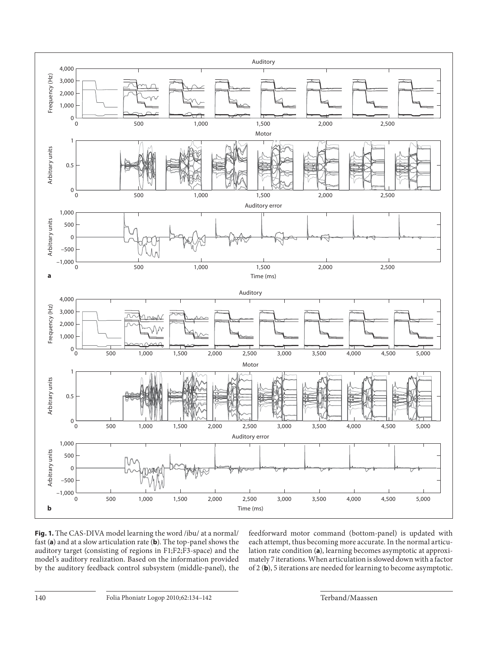

**Fig. 1.** The CAS-DIVA model learning the word /ibu/ at a normal/ fast (**a**) and at a slow articulation rate (**b**). The top-panel shows the auditory target (consisting of regions in F1;F2;F3-space) and the model's auditory realization. Based on the information provided by the auditory feedback control subsystem (middle-panel), the

feedforward motor command (bottom-panel) is updated with each attempt, thus becoming more accurate. In the normal articulation rate condition (**a**), learning becomes asymptotic at approximately 7 iterations. When articulation is slowed down with a factor of 2 (**b**), 5 iterations are needed for learning to become asymptotic.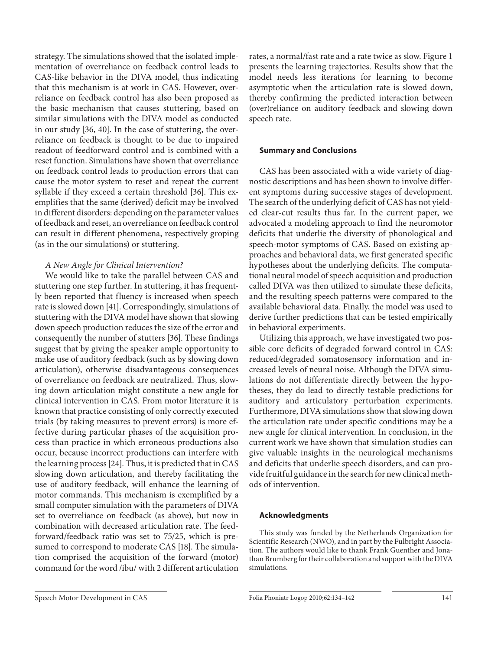strategy. The simulations showed that the isolated implementation of overreliance on feedback control leads to CAS-like behavior in the DIVA model, thus indicating that this mechanism is at work in CAS. However, overreliance on feedback control has also been proposed as the basic mechanism that causes stuttering, based on similar simulations with the DIVA model as conducted in our study  $[36, 40]$ . In the case of stuttering, the overreliance on feedback is thought to be due to impaired readout of feedforward control and is combined with a reset function. Simulations have shown that overreliance on feedback control leads to production errors that can cause the motor system to reset and repeat the current syllable if they exceed a certain threshold [36]. This exemplifies that the same (derived) deficit may be involved in different disorders: depending on the parameter values of feedback and reset, an overreliance on feedback control can result in different phenomena, respectively groping (as in the our simulations) or stuttering.

# *A New Angle for Clinical Intervention?*

 We would like to take the parallel between CAS and stuttering one step further. In stuttering, it has frequently been reported that fluency is increased when speech rate is slowed down [41] . Correspondingly, simulations of stuttering with the DIVA model have shown that slowing down speech production reduces the size of the error and consequently the number of stutters [36]. These findings suggest that by giving the speaker ample opportunity to make use of auditory feedback (such as by slowing down articulation), otherwise disadvantageous consequences of overreliance on feedback are neutralized. Thus, slowing down articulation might constitute a new angle for clinical intervention in CAS. From motor literature it is known that practice consisting of only correctly executed trials (by taking measures to prevent errors) is more effective during particular phases of the acquisition process than practice in which erroneous productions also occur, because incorrect productions can interfere with the learning process [24]. Thus, it is predicted that in CAS slowing down articulation, and thereby facilitating the use of auditory feedback, will enhance the learning of motor commands. This mechanism is exemplified by a small computer simulation with the parameters of DIVA set to overreliance on feedback (as above), but now in combination with decreased articulation rate. The feedforward/feedback ratio was set to 75/25, which is presumed to correspond to moderate CAS [18]. The simulation comprised the acquisition of the forward (motor) command for the word /ibu/ with 2 different articulation

rates, a normal/fast rate and a rate twice as slow. Figure 1 presents the learning trajectories. Results show that the model needs less iterations for learning to become asymptotic when the articulation rate is slowed down, thereby confirming the predicted interaction between (over)reliance on auditory feedback and slowing down speech rate.

## **Summary and Conclusions**

 CAS has been associated with a wide variety of diagnostic descriptions and has been shown to involve different symptoms during successive stages of development. The search of the underlying deficit of CAS has not yielded clear-cut results thus far. In the current paper, we advocated a modeling approach to find the neuromotor deficits that underlie the diversity of phonological and speech-motor symptoms of CAS. Based on existing approaches and behavioral data, we first generated specific hypotheses about the underlying deficits. The computational neural model of speech acquisition and production called DIVA was then utilized to simulate these deficits, and the resulting speech patterns were compared to the available behavioral data. Finally, the model was used to derive further predictions that can be tested empirically in behavioral experiments.

 Utilizing this approach, we have investigated two possible core deficits of degraded forward control in CAS: reduced/degraded somatosensory information and increased levels of neural noise. Although the DIVA simulations do not differentiate directly between the hypotheses, they do lead to directly testable predictions for auditory and articulatory perturbation experiments. Furthermore, DIVA simulations show that slowing down the articulation rate under specific conditions may be a new angle for clinical intervention. In conclusion, in the current work we have shown that simulation studies can give valuable insights in the neurological mechanisms and deficits that underlie speech disorders, and can provide fruitful guidance in the search for new clinical methods of intervention.

## **Acknowledgments**

 This study was funded by the Netherlands Organization for Scientific Research (NWO), and in part by the Fulbright Association. The authors would like to thank Frank Guenther and Jonathan Brumberg for their collaboration and support with the DIVA simulations.